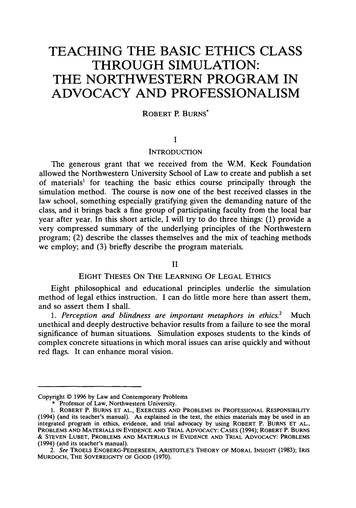# **TEACHING THE BASIC ETHICS CLASS THROUGH SIMULATION: THE NORTHWESTERN PROGRAM IN ADVOCACY AND PROFESSIONALISM**

# ROBERT R BURNS\*

# **I**

#### **INTRODUCTION**

The generous grant that we received from the W.M. Keck Foundation allowed the Northwestern University School of Law to create and publish a set of materials' for teaching the basic ethics course principally through the simulation method. The course is now one of the best received classes in the law school, something especially gratifying given the demanding nature of the class, and it brings back a fine group of participating faculty from the local bar year after year. In this short article, I will try to do three things: (1) provide a very compressed summary of the underlying principles of the Northwestern program; (2) describe the classes themselves and the mix of teaching methods we employ; and (3) briefly describe the program materials.

### II

# EIGHT THESES ON THE LEARNING OF LEGAL ETHICS

Eight philosophical and educational principles underlie the simulation method of legal ethics instruction. I can do little more here than assert them, and so assert them I shall.

*1. Perception and blindness are important metaphors in ethics.2* Much unethical and deeply destructive behavior results from a failure to see the moral significance of human situations. Simulation exposes students to the kinds of complex concrete situations in which moral issues can arise quickly and without red flags. It can enhance moral vision.

Copyright © 1996 by Law and Contemporary Problems

<sup>\*</sup> Professor of Law, Northwestern University.

<sup>1.</sup> ROBERT P. **BURNS ET AL., EXERCISES AND** PROBLEMS **IN PROFESSIONAL** RESPONSIBILITY (1994) (and its teacher's manual). As explained in the text, the ethics materials may be used in an integrated program in ethics, evidence, and trial advocacy by using ROBERT P. **BURNS ET AL.,** PROBLEMS **AND** MATERIALS **IN EVIDENCE AND** TRIAL **ADVOCACY: CASES** (1994); ROBERT P. **BURNS** & **STEVEN LUBET,** PROBLEMS **AND** MATERIALS **IN** EVIDENCE **AND** TRIAL **ADVOCACY:** PROBLEMS (1994) (and its teacher's manual).

*<sup>2.</sup>* See TROELS **ENGBERG-PEDERSEEN,** ARISTOTLE'S THEORY OF MORAL INSIGHT (1983); IRIS MURDOCH, THE SOVEREIGNTY OF **GOOD** (1970).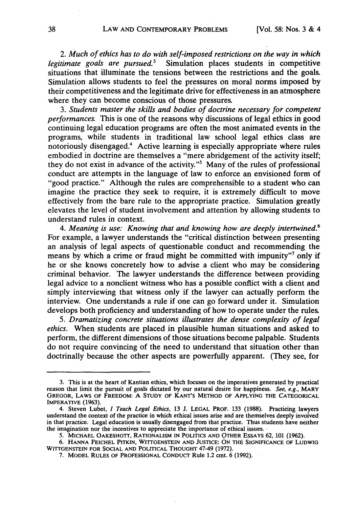*2. Much of ethics has to do with self-imposed restrictions on the way in which legitimate goals are pursued.3* Simulation places students in competitive situations that illuminate the tensions between the restrictions and the goals. Simulation allows students to feel the pressures on moral norms imposed **by** their competitiveness and the legitimate drive for effectiveness in an atmosphere where they can become conscious of those pressures.

*3. Students master the skills and bodies of doctrine necessary for competent performances.* This is one of the reasons why discussions of legal ethics in good continuing legal education programs are often the most animated events in the programs, while students in traditional law school legal ethics class are notoriously disengaged.4 Active learning is especially appropriate where rules embodied in doctrine are themselves a "mere abridgement of the activity itself; they do not exist in advance of the activity."<sup>5</sup> Many of the rules of professional conduct are attempts in the language of law to enforce an envisioned form of "good practice." Although the rules are comprehensible to a student who can imagine the practice they seek to require, it is extremely difficult to move effectively from the bare rule to the appropriate practice. Simulation greatly elevates the level of student involvement and attention **by** allowing students to understand rules in context.

*4. Meaning is use: Knowing that and knowing how are deeply intertwined.6* For example, a lawyer understands the "critical distinction between presenting an analysis of legal aspects of questionable conduct and recommending the means by which a crime or fraud might be committed with impunity"7 only if he or she knows concretely how to advise a client who may be considering criminal behavior. The lawyer understands the difference between providing legal advice to a nonclient witness who has a possible conflict with a client and simply interviewing that witness only if the lawyer can actually perform the interview. One understands a rule if one can go forward under it. Simulation develops both proficiency and understanding of how to operate under the rules.

*5. Dramatizing concrete situations illustrates the dense complexity of legal ethics.* When students are placed in plausible human situations and asked to perform, the different dimensions of those situations become palpable. Students do not require convincing of the need to understand that situation other than doctrinally because the other aspects are powerfully apparent. (They see, for

<sup>3.</sup> This is at the heart of Kantian ethics, which focuses on the imperatives generated by practical reason that limit the pursuit of goals dictated by our natural desire for happiness. *See, e.g.,* MARY GREGOR, LAWS OF FREEDOM: **A STUDY** OF **KANT'S** METHOD OF APPLYING **THE CATEGORICAL** IMPERATIVE (1963).

<sup>4.</sup> Steven Lubet, *I Teach Legal* Ethics, 13 J. LEGAL PROF. 133 (1988). Practicing lawyers understand the context of the practice in which ethical issues arise and are themselves deeply involved in that practice. Legal education is usually disengaged from that practice. Thus students have neither the imagination nor the incentives to appreciate the importance of ethical issues.

**<sup>5.</sup> MICHAEL** OAKESHOT, RATIONALISM **IN** POLITICS **AND** OTHER ESSAYS 62, 101 (1962).

<sup>6.</sup> **HANNA FEICHEL** PITKIN, WITTGENSTEIN **AND JUSTICE: ON** THE **SIGNIFICANCE** OF **LUDWIG WITTGENSTEIN** FOR **SOCIAL AND** POLITICAL **THOUGHT** 47-49 (1972).

**<sup>7.</sup>** MODEL **RULES** OF PROFESSIONAL CONDUCT Rule 1.2 cmt. 6 (1992).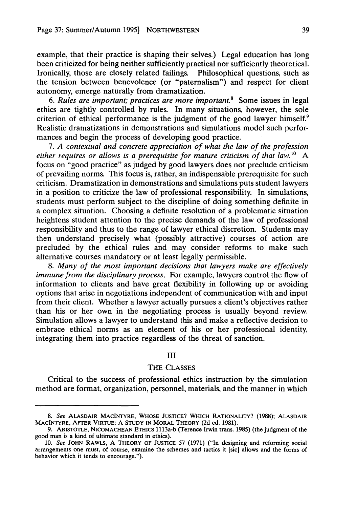example, that their practice is shaping their selves.) Legal education has long been criticized for being neither sufficiently practical nor sufficiently theoretical. Ironically, those are closely related failings. Philosophical questions, such as the tension between benevolence (or "paternalism") and respect for client autonomy, emerge naturally from dramatization.

*6. Rules are important; practices are more important.8* Some issues in legal ethics are tightly controlled by rules. In many situations, however, the sole criterion of ethical performance is the judgment of the good lawyer himself.<sup>9</sup> Realistic dramatizations in demonstrations and simulations model such performances and begin the process of developing good practice.

*7. A contextual and concrete appreciation of what the law of the profession either requires or allows is a prerequisite for mature criticism of that law."0* A focus on "good practice" as judged by good lawyers does not preclude criticism of prevailing norms. This focus is, rather, an indispensable prerequisite for such criticism. Dramatization in demonstrations and simulations puts student lawyers in a position to criticize the law of professional responsibility. In simulations, students must perform subject to the discipline of doing something definite in a complex situation. Choosing a definite resolution of a problematic situation heightens student attention to the precise demands of the law of professional responsibility and thus to the range of lawyer ethical discretion. Students may then understand precisely what (possibly attractive) courses of action are precluded by the ethical rules and may consider reforms to make such alternative courses mandatory or at least legally permissible.

*8. Many of the most important decisions that lawyers make are effectively immune from the disciplinary process.* For example, lawyers control the flow of information to clients and have great flexibility in following up or avoiding options that arise in negotiations independent of communication with and input from their client. Whether a lawyer actually pursues a client's objectives rather than his or her own in the negotiating process is usually beyond review. Simulation allows a lawyer to understand this and make a reflective decision to embrace ethical norms as an element of his or her professional identity, integrating them into practice regardless of the threat of sanction.

#### III

## THE CLASSES

Critical to the success of professional ethics instruction by the simulation method are format, organization, personnel, materials, and the manner in which

*<sup>8.</sup>* See ALASDAIR MACINTYRE, WHOSE JUSTICE? WHICH RATIONALITY? (1988); ALASDAIR MACINTYRE, AFTER VIRTUE: A STUDY IN MORAL THEORY **(2d** ed. 1981).

**<sup>9.</sup>** ARISTOTLE, NICOMACHEAN ETHICS 1113a-b (Terence Irwin trans. 1985) (the judgment of the good man is a kind of ultimate standard in ethics).

<sup>10.</sup> See JOHN RAWLS, A THEORY OF JUSTICE 57 (1971) ("In designing and reforming social arrangements one must, of course, examine the schemes and tactics it [sic] allows and the forms of behavior which it tends to encourage.").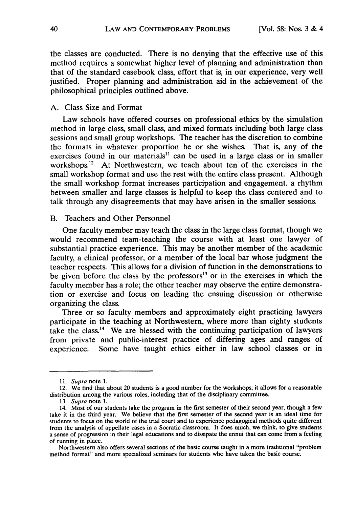the classes are conducted. There is no denying that the effective use of this method requires a somewhat higher level of planning and administration than that of the standard casebook class, effort that is, in our experience, very well justified. Proper planning and administration aid in the achievement of the philosophical principles outlined above.

## A. Class Size and Format

Law schools have offered courses on professional ethics by the simulation method in large class, small class, and mixed formats including both large class sessions and small group workshops. The teacher has the discretion to combine the formats in whatever proportion he or she wishes. That is, any of the exercises found in our materials<sup>11</sup> can be used in a large class or in smaller workshops. $^{12}$  At Northwestern, we teach about ten of the exercises in the small workshop format and use the rest with the entire class present. Although the small workshop format increases participation and engagement, a rhythm between smaller and large classes is helpful to keep the class centered and to talk through any disagreements that may have arisen in the smaller sessions.

### B. Teachers and Other Personnel

One faculty member may teach the class in the large class format, though we would recommend team-teaching the course with at least one lawyer of substantial practice experience. This may be another member of the academic faculty, a clinical professor, or a member of the local bar whose judgment the teacher respects. This allows for a division of function in the demonstrations to be given before the class by the professors<sup>13</sup> or in the exercises in which the faculty member has a role; the other teacher may observe the entire demonstration or exercise and focus on leading the ensuing discussion or otherwise organizing the class.

Three or so faculty members and approximately eight practicing lawyers participate in the teaching at Northwestern, where more than eighty students take the class.'4 We are blessed with the continuing participation of lawyers from private and public-interest practice of differing ages and ranges of experience. Some have taught ethics either in law school classes or in

<sup>11.</sup> Supra note 1.

<sup>12.</sup> We find that about 20 students is a good number for the workshops; it allows for a reasonable distribution among the various roles, including that of the disciplinary committee.

<sup>13.</sup> Supra note 1.

<sup>14.</sup> Most of our students take the program in the first semester of their second year, though a few take it in the third year. We believe that the first semester of the second year is an ideal time for students to focus on the world of the trial court and to experience pedagogical methods quite different from the analysis of appellate cases in a Socratic classroom. It does much, we think, to give students a sense of progression in their legal educations and to dissipate the ennui that can come from a feeling of running in place.

Northwestern also offers several sections of the basic course taught in a more traditional "problem method format" and more specialized seminars for students who have taken the basic course.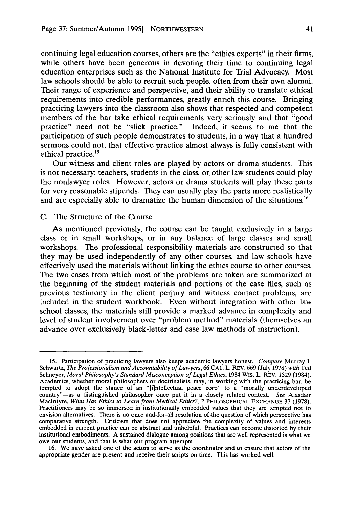continuing legal education courses, others are the "ethics experts" in their firms, while others have been generous in devoting their time to continuing legal education enterprises such as the National Institute for Trial Advocacy. Most law schools should be able to recruit such people, often from their own alumni. Their range of experience and perspective, and their ability to translate ethical requirements into credible performances, greatly enrich this course. Bringing practicing lawyers into the classroom also shows that respected and competent members of the bar take ethical requirements very seriously and that "good practice" need not be "slick practice." Indeed, it seems to me that the participation of such people demonstrates to students, in a way that a hundred sermons could not, that effective practice almost always is fully consistent with ethical practice.<sup>15</sup>

Our witness and client roles are played by actors or drama students. This is not necessary; teachers, students in the class, or other law students could play the nonlawyer roles. However, actors or drama students will play these parts for very reasonable stipends. They can usually play the parts more realistically and are especially able to dramatize the human dimension of the situations.<sup>16</sup>

#### C. The Structure of the Course

As mentioned previously, the course can be taught exclusively in a large class or in small workshops, or in any balance of large classes and small workshops. The professional responsibility materials are constructed so that they may be used independently of any other courses, and law schools have effectively used the materials without linking the ethics course to other courses. The two cases from which most of the problems are taken are summarized at the beginning of the student materials and portions of the case files, such as previous testimony in the client perjury and witness contact problems, are included in the student workbook. Even without integration with other law school classes, the materials still provide a marked advance in complexity and level of student involvement over "problem method" materials (themselves an advance over exclusively black-letter and case law methods of instruction).

<sup>15.</sup> Participation of practicing lawyers also keeps academic lawyers honest. *Compare* Murray L Schwartz, *The Professionalism and Accountability of Lawyers,* 66 **CAL.** L. REV. 669 (July 1978) *with* Ted Schneyer, *Moral Philosophy's Standard Misconception of Legal Ethics*, 1984 WIS. L. REV. 1529 (1984). Academics, whether moral philosophers or doctrinalists, may, in working with the practicing bar, be tempted to adopt the stance of an "[i]ntellectual peace corp" to a "morally underdeveloped country"-as a distinguished philosopher once put it in a closely related context. *See* Alasdair Maclntyre, *What Has Ethics to Learn from Medical Ethics?,* 2 PHILOSOPHICAL **EXCHANGE** 37 (1978). Practitioners may be so immersed in institutionally embedded values that they are tempted not to envision alternatives. There is no once-and-for-all resolution of the question of which perspective has comparative strength. Criticism that does not appreciate the complexity of values and interests embedded in current practice can be abstract and unhelpful. Practices can become distorted by their institutional embodiments. A sustained dialogue among positions that are well represented is what we owe our students, and that is what our program attempts.

<sup>16.</sup> We have asked one of the actors to serve as the coordinator and to ensure that actors of the appropriate gender are present and receive their scripts on time. This has worked well.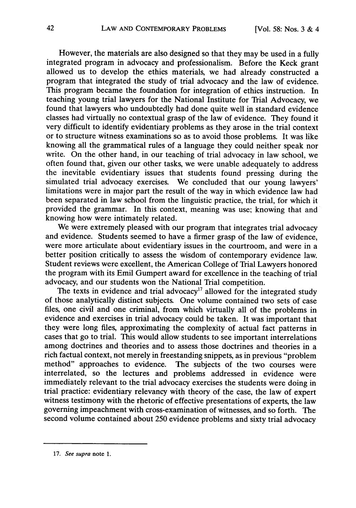However, the materials are also designed so that they may be used in a fully integrated program in advocacy and professionalism. Before the Keck grant allowed us to develop the ethics materials, we had already constructed a program that integrated the study of trial advocacy and the law of evidence. This program became the foundation for integration of ethics instruction. In teaching young trial lawyers for the National Institute for Trial Advocacy, we found that lawyers who undoubtedly had done quite well in standard evidence classes had virtually no contextual grasp of the law of evidence. They found it very difficult to identify evidentiary problems as they arose in the trial context or to structure witness examinations so as to avoid those problems. It was like knowing all the grammatical rules of a language they could neither speak nor write. On the other hand, in our teaching of trial advocacy in law school, we often found that, given our other tasks, we were unable adequately to address the inevitable evidentiary issues that students found pressing during the simulated trial advocacy exercises. We concluded that our young lawyers' limitations were in major part the result of the way in which evidence law had been separated in law school from the linguistic practice, the trial, for which it provided the grammar. In this context, meaning was use; knowing that and knowing how were intimately related.

We were extremely pleased with our program that integrates trial advocacy and evidence. Students seemed to have a firmer grasp of the law of evidence, were more articulate about evidentiary issues in the courtroom, and were in a better position critically to assess the wisdom of contemporary evidence law. Student reviews were excellent, the American College of Trial Lawyers honored the program with its Emil Gumpert award for excellence in the teaching of trial advocacy, and our students won the National Trial competition.

The texts in evidence and trial advocacy<sup>17</sup> allowed for the integrated study of those analytically distinct subjects. One volume contained two sets of case files, one civil and one criminal, from which virtually all of the problems in evidence and exercises in trial advocacy could be taken. It was important that they were long files, approximating the complexity of actual fact patterns in cases that go to trial. This would allow students to see important interrelations among doctrines and theories and to assess those doctrines and theories in a rich factual context, not merely in freestanding snippets, as in previous "problem method" approaches to evidence. The subjects of the two courses were interrelated, so the lectures and problems addressed in evidence were immediately relevant to the trial advocacy exercises the students were doing in trial practice: evidentiary relevancy with theory of the case, the law of expert witness testimony with the rhetoric of effective presentations of experts, the law governing impeachment with cross-examination of witnesses, and so forth. The second volume contained about 250 evidence problems and sixty trial advocacy

**<sup>17.</sup>** See **supra** note **1.**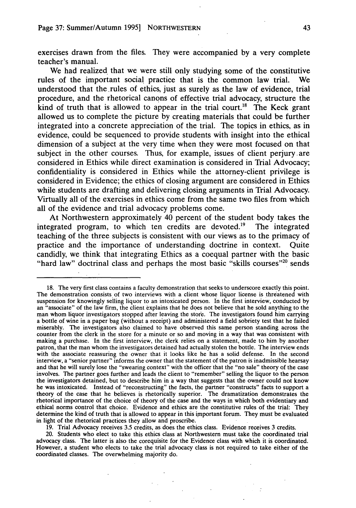exercises drawn from the files. They were accompanied by a very complete teacher's manual.

We had realized that we were still only studying some of the constitutive rules of the important social practice that is the common law trial. We understood that the.rules of ethics, just as surely as the law of evidence, trial procedure, and the rhetorical canons of effective trial advocacy, structure the kind of truth that is allowed to appear in the trial court.<sup>18</sup> The Keck grant allowed us to complete the picture by creating materials that could be further integrated into a concrete appreciation of the trial. The topics in ethics, as in evidence, could be sequenced to provide students with insight into the ethical dimension of a subject at the very time when they were most focused on that subject in the other courses. Thus, for example, issues of client perjury are considered in Ethics while direct examination is considered in Trial Advocacy; confidentiality is considered in Ethics while the attorney-client privilege is considered in Evidence; the ethics of closing argument are considered in Ethics while students are drafting and delivering closing arguments in Trial Advocacy. Virtually all of the exercises in ethics come from the same two files from which all of the evidence and trial advocacy problems come.

At Northwestern approximately 40 percent of the student body takes the integrated program, to which ten credits are devoted.'9 The integrated teaching of the three subjects is consistent with our views as to the primacy of practice and the importance of understanding doctrine in context. Quite candidly, we think that integrating Ethics as a coequal partner with the basic "hard law" doctrinal class and perhaps the most basic "skills courses"<sup>20</sup> sends

19. Trial Advocacy receives 3.5 credits, as does the ethics class. Evidence receives 3 credits.

20. Students who elect to take this ethics class at Northwestern must take the coordinated trial advocacy class. The latter is also the corequisite for the Evidence class with which it is coordinated. However, a student who elects to take the trial advocacy class is not required to take either of the coordinated classes. The overwhelming majority do.

<sup>18.</sup> The very first class contains a faculty demonstration that seeks to underscore exactly this point. The demonstration consists of two interviews with a client whose liquor license is threatened with suspension for knowingly selling liquor to an intoxicated person. In the first interview, conducted by an "associate" of the law firm, the client explains that he does not believe that he sold anything to the man whom liquor investigators stopped after leaving the store. The investigators found him carrying a bottle of wine in a paper bag (without a receipt) and administered a field sobriety test that he failed miserably. The investigators also claimed to have observed this same person standing across the counter from the clerk in the store for a minute or so and moving in a way that was consistent with making a purchase. In the first interview, the clerk relies on a statement, made to him by another patron, that the man whom the investigators detained had actually stolen the bottle. The interview ends with the associate reassuring the owner that it looks like he has a solid defense. In the second interview, a "senior partner" informs the owner that the statement of the patron is inadmissible hearsay and that he will surely lose the "swearing context" with the officer that the "no sale" theory of the case involves. The partner goes further and leads the client to "remember" selling the liquor to the person the investigators detained, but to describe him in a way that suggests that the owner could not know he was intoxicated. Instead of "reconstructing" the facts, the partner "constructs" facts to support a theory of the case that he believes is rhetorically superior. The dramatization demonstrates the rhetorical importance of the choice of theory of the case and the ways in which both evidentiary and ethical norms control that choice. Evidence and ethics are the constitutive rules of the trial: They determine the kind of truth that is allowed to appear in this important forum. They must be evaluated in light of the rhetorical practices they allow and proscribe.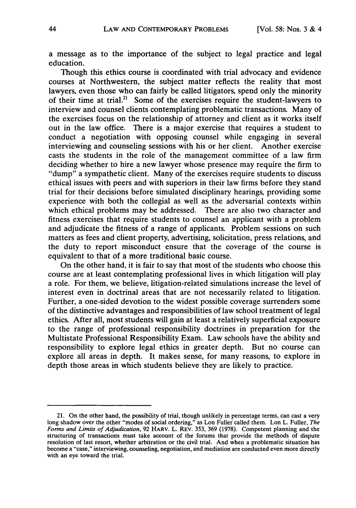a message as to the importance of the subject to legal practice and legal education.

Though this ethics course is coordinated with trial advocacy and evidence courses at Northwestern, the subject matter reflects the reality that most lawyers, even those who can fairly be called litigators, spend only the minority of their time at trial.<sup>21</sup> Some of the exercises require the student-lawyers to interview and counsel clients contemplating problematic transactions. Many of the exercises focus on the relationship of attorney and client as it works itself out in the law office. There is a major exercise that requires a student to conduct a negotiation with opposing counsel while engaging in several interviewing and counseling sessions with his or her client. Another exercise casts the students in the role of the management committee of a law firm deciding whether to hire a new lawyer whose presence may require the firm to "dump" a sympathetic client. Many of the exercises require students to discuss ethical issues with peers and with superiors in their law firms before they stand trial for their decisions before simulated disciplinary hearings, providing some experience with both the collegial as well as the adversarial contexts within which ethical problems may be addressed. There are also two character and fitness exercises that require students to counsel an applicant with a problem and adjudicate the fitness of a range of applicants. Problem sessions on such matters as fees and client property, advertising, solicitation, press relations, and the duty to report misconduct ensure that the coverage of the course is equivalent to that of a more traditional basic course.

On the other hand, it is fair to say that most of the students who choose this course are at least contemplating professional lives in which litigation will play a role. For them, we believe, litigation-related simulations increase the level of interest even in doctrinal areas that are not necessarily related to litigation. Further, a one-sided devotion to the widest possible coverage surrenders some of the distinctive advantages and responsibilities of law school treatment of legal ethics. After all, most students will gain at least a relatively superficial exposure to the range of professional responsibility doctrines in preparation for the Multistate Professional Responsibility Exam. Law schools have the ability and responsibility to explore legal ethics in greater depth. But no course can explore all areas in depth. It makes sense, for many reasons, to explore in depth those areas in which students believe they are likely to practice.

<sup>21.</sup> On the other hand, the possibility of trial, though unlikely in percentage terms, can cast a very long shadow over the other "modes of social ordering," as Lon Fuller called them. Lon L. Fuller, *The Forms and Limits of Adjudication,* 92 HARV. L. REV. 353, 369 (1978). Competent planning and the structuring of transactions must take account of the forums that provide the methods of dispute resolution of last resort, whether arbitration or the civil trial. And when a problematic situation has become a "case," interviewing, counseling, negotiation, and mediation are conducted even more directly with an eye toward the trial.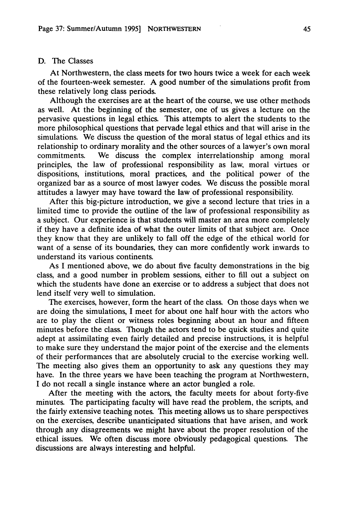## D. The Classes

At Northwestern, the class meets for two hours twice a week for each week of the fourteen-week semester. A good number of the simulations profit from these relatively long class periods.

Although the exercises are at the heart of the course, we use other methods as well. At the beginning of the semester, one of us gives a lecture on the pervasive questions in legal ethics. This attempts to alert the students to the more philosophical questions that pervade legal ethics and that will arise in the simulations. We discuss the question of the moral status of legal ethics and its relationship to ordinary morality and the other sources of a lawyer's own moral commitments. We discuss the complex interrelationship among moral principles, the law of professional responsibility as law, moral virtues or dispositions, institutions, moral practices, and the political power of the organized bar as a source of most lawyer codes. We discuss the possible moral attitudes a lawyer may have toward the law of professional responsibility.

After this big-picture introduction, we give a second lecture that tries in a limited time to provide the outline of the law of professional responsibility as a subject. Our experience is that students will master an area more completely if they have a definite idea of what the outer limits of that subject are. Once they know that they are unlikely to fall off the edge of the ethical world for want of a sense of its boundaries, they can more confidently work inwards to understand its various continents.

As I mentioned above, we do about five faculty demonstrations in the big class, and a good number in problem sessions, either to fill out a subject on which the students have done an exercise or to address a subject that does not lend itself very well to simulation.

The exercises, however, form the heart of the class. On those days when we are doing the simulations, I meet for about one half hour with the actors who are to play the client or witness roles beginning about an hour and fifteen minutes before the class. Though the actors tend to be quick studies and quite adept at assimilating even fairly detailed and precise instructions, it is helpful to make sure they understand the major point of the exercise and the elements of their performances that are absolutely crucial to the exercise working well. The meeting also gives them an opportunity to ask any questions they may have. In the three years we have been teaching the program at Northwestern, I do not recall a single instance where an actor bungled a role.

After the meeting with the actors, the faculty meets for about forty-five minutes. The participating faculty will have read the problem, the scripts, and the fairly extensive teaching notes. This meeting allows us to share perspectives on the exercises, describe unanticipated situations that have arisen, and work through any disagreements we might have about the proper resolution of the ethical issues. We often discuss more obviously pedagogical questions. The discussions are always interesting and helpful.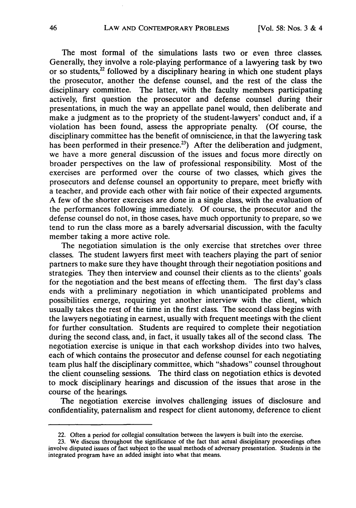The most formal of the simulations lasts two or even three classes. Generally, they involve a role-playing performance of a lawyering task by two or so students, $^{22}$  followed by a disciplinary hearing in which one student plays the prosecutor, another the defense counsel, and the rest of the class the disciplinary committee. The latter, with the faculty members participating actively, first question the prosecutor and defense counsel during their presentations, in much the way an appellate panel would, then deliberate and make a judgment as to the propriety of the student-lawyers' conduct and, if a violation has been found, assess the appropriate penalty. (Of course, the disciplinary committee has the benefit of omniscience, in that the lawyering task has been performed in their presence.<sup>23</sup>) After the deliberation and judgment, we have a more general discussion of the issues and focus more directly on broader perspectives on the law of professional responsibility. Most of the exercises are performed over the course of two classes, which gives the prosecutors and defense counsel an opportunity to prepare, meet briefly with a teacher, and provide each other with fair notice of their expected arguments. A few of the shorter exercises are done in a single class, with the evaluation of the performances following immediately. Of course, the prosecutor and the defense counsel do not, in those cases, have much opportunity to prepare, so we tend to run the class more as a barely adversarial discussion, with the faculty member taking a more active role.

The negotiation simulation is the only exercise that stretches over three classes. The student lawyers first meet with teachers playing the part of senior partners to make sure they have thought through their negotiation positions and strategies. They then interview and counsel their clients as to the clients' goals for the negotiation and the best means of effecting them. The first day's class ends with a preliminary negotiation in which unanticipated problems and possibilities emerge, requiring yet another interview with the client, which usually takes the rest of the time in the first class. The second class begins with the lawyers negotiating in earnest, usually with frequent meetings with the client for further consultation. Students are required to complete their negotiation during the second class, and, in fact, it usually takes all of the second class. The negotiation exercise is unique in that each workshop divides into two halves, each of which contains the prosecutor and defense counsel for each negotiating team plus half the disciplinary committee, which "shadows" counsel throughout the client counseling sessions. The third class on negotiation ethics is devoted to mock disciplinary hearings and discussion of the issues that arose in the course of the hearings.

The negotiation exercise involves challenging issues of disclosure and confidentiality, paternalism and respect for client autonomy, deference to client

<sup>22.</sup> Often a period for collegial consultation between the lawyers is built into the exercise.

<sup>23.</sup> We discuss throughout the significance of the fact that actual disciplinary proceedings often involve disputed issues of fact subject to the usual methods of adversary presentation. Students in the integrated program have an added insight into what that means.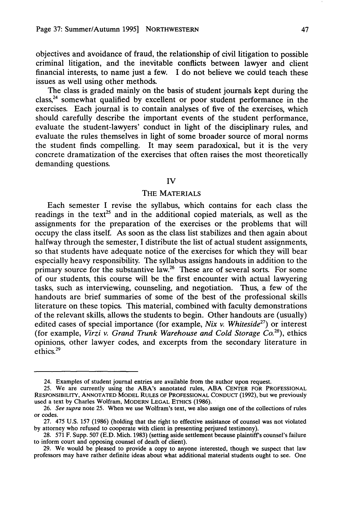objectives and avoidance of fraud, the relationship of civil litigation to possible criminal litigation, and the inevitable conflicts between lawyer and client financial interests, to name just a few. I do not believe we could teach these issues as well using other methods.

The class is graded mainly on the basis of student journals kept during the  $class<sub>1</sub><sup>24</sup>$  somewhat qualified by excellent or poor student performance in the exercises. Each journal is to contain analyses of five of the exercises, which should carefully describe the important events of the student performance, evaluate the student-lawyers' conduct in light of the disciplinary rules, and evaluate the rules themselves in light of some broader source of moral norms the student finds compelling. It may seem paradoxical, but it is the very concrete dramatization of the exercises that often raises the most theoretically demanding questions.

#### IV

#### THE MATERIALS

Each semester I revise the syllabus, which contains for each class the readings in the text<sup>25</sup> and in the additional copied materials, as well as the assignments for the preparation of the exercises or the problems that will occupy the class itself. As soon as the class list stabilizes and then again about halfway through the semester, I distribute the list of actual student assignments, so that students have adequate notice of the exercises for which they will bear especially heavy responsibility. The syllabus assigns handouts in addition to the primary source for the substantive law.<sup>26</sup> These are of several sorts. For some of our students, this course will be the first encounter with actual lawyering tasks, such as interviewing, counseling, and negotiation. Thus, a few of the handouts are brief summaries of some of the best of the professional skills literature on these topics. This material, combined with faculty demonstrations of the relevant skills, allows the students to begin. Other handouts are (usually) edited cases of special importance (for example, *Nix v. Whiteside27)* or interest (for example, *Virzi v. Grand Trunk Warehouse and Cold Storage Co.28),* ethics opinions, other lawyer codes, and excerpts from the secondary literature in ethics. <sup>29</sup>

<sup>24.</sup> Examples of student journal entries are available from the author upon request.

<sup>25.</sup> We are currently using the ABA's annotated rules, ABA CENTER FOR PROFESSIONAL RESPONSIBILITY, ANNOTATED MODEL RULES OF PROFESSIONAL CONDUcT (1992), but we previously used a text by Charles Wolfram, MODERN LEGAL ETHIcS (1986).

<sup>26.</sup> See supra note 25. When we use Wolfram's text, we also assign one of the collections of rules or codes.

<sup>27. 475</sup> U.S. 157 (1986) (holding that the right to effective assistance of counsel was not violated by attorney who refused to cooperate with client in presenting perjured testimony).

<sup>28. 571</sup> F. Supp. 507 (E.D. Mich. 1983) (setting aside settlement because plaintiff's counsel's failure to inform court and opposing counsel of death of client).

<sup>29.</sup> We would be pleased to provide a copy to anyone interested, though we suspect that law professors may have rather definite ideas about what additional material students ought to see. One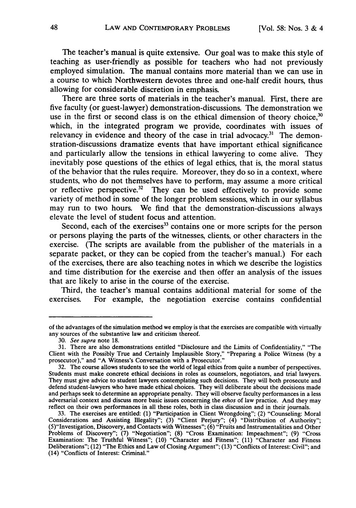The teacher's manual is quite extensive. Our goal was to make this style of teaching as user-friendly as possible for teachers who had not previously employed simulation. The manual contains more material than we can use in a course to which Northwestern devotes three and one-half credit hours, thus allowing for considerable discretion in emphasis.

There are three sorts of materials in the teacher's manual. First, there are five faculty (or guest-lawyer) demonstration-discussions. The demonstration we use in the first or second class is on the ethical dimension of theory choice,  $30$ which, in the integrated program we provide, coordinates with issues of relevancy in evidence and theory of the case in trial advocacy.<sup>31</sup> The demonstration-discussions dramatize events that have important ethical significance and particularly allow the tensions in ethical lawyering to come alive. They inevitably pose questions of the ethics of legal ethics, that is, the moral status of the behavior that the rules require. Moreover, they do so in a context, where students, who do not themselves have to perform, may assume a more critical or reflective perspective.<sup>32</sup> They can be used effectively to provide some variety of method in some of the longer problem sessions, which in our syllabus may run to two hours. We find that the demonstration-discussions always elevate the level of student focus and attention.

Second, each of the exercises $33$  contains one or more scripts for the person or persons playing the parts of the witnesses, clients, or other characters in the exercise. (The scripts are available from the publisher of the materials in a separate packet, or they can be copied from the teacher's manual.) For each of the exercises, there are also teaching notes in which we describe the logistics and time distribution for the exercise and then offer an analysis of the issues that are likely to arise in the course of the exercise.

Third, the teacher's manual contains additional material for some of the exercises. For example, the negotiation exercise contains confidential

of the advantages of the simulation method we employ is that the exercises are compatible with virtually any sources of the substantive law and criticism thereof.

<sup>30.</sup> *See supra* note 18.

<sup>31.</sup> There are also demonstrations entitled "Disclosure and the Limits of Confidentiality," "The Client with the Possibly True and Certainly Implausible Story," "Preparing a Police Witness (by a prosecutor)," and "A Witness's Conversation with a Prosecutor."

<sup>32.</sup> The course allows students to see the world of legal ethics from quite a number of perspectives. Students must make concrete ethical decisions in roles as counselors, negotiators, and trial lawyers. They must give advice to student lawyers contemplating such decisions. They will both prosecute and defend student-lawyers who have made ethical choices. They will deliberate about the decisions made and perhaps seek to determine an appropriate penalty. They will observe faculty performances in a less adversarial context and discuss more basic issues concerning the *ethos* of law practice. And they may reflect on their own performances in all these roles, both in class discussion and in their journals.

<sup>33.</sup> The exercises are entitled: (1) "Participation in Client Wrongdoing"; (2) "Counseling: Moral Considerations and Assisting Illegality"; (3) "Client Perjury"; (4) "Distribution of Authority"; (5)"Investigation, Discovery, and Contacts with Witnesses"; (6) "Fruits and Instrumentalities and Other Problems of Discovery"; (7) "Negotiation"; (8) "Cross Examination: Impeachment"; (9) "Cross Examination: The Truthful Witness"; (10) "Character and Fitness"; (11) "Character and Fitness Deliberations"; (12) "The Ethics and Law of Closing Argument"; (13) "Conflicts of Interest: Civil"; and (14) "Conflicts of Interest: Criminal."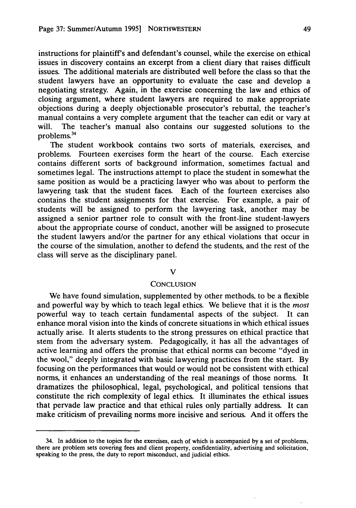instructions for plaintiff's and defendant's counsel, while the exercise on ethical issues in discovery contains an excerpt from a client diary that raises difficult issues. The additional materials are distributed well before the class so that the student lawyers have an opportunity to evaluate the case and develop a negotiating strategy. Again, in the exercise concerning the law and ethics of closing argument, where student lawyers are required to make appropriate objections during a deeply objectionable prosecutor's rebuttal, the teacher's manual contains a very complete argument that the teacher can edit or vary at will. The teacher's manual also contains our suggested solutions to the problems.<sup>34</sup>

The student workbook contains two sorts of materials, exercises, and problems. Fourteen exercises form the heart of the course. Each exercise contains different sorts of background information, sometimes factual and sometimes legal. The instructions attempt to place the student in somewhat the same position as would be a practicing lawyer who was about to perform the lawyering task that the student faces. Each of the fourteen exercises also contains the student assignments for that exercise. For example, a pair of students will be assigned to perform the lawyering task, another may be assigned a senior partner role to consult with the front-line student-lawyers about the appropriate course of conduct, another will be assigned to prosecute the student lawyers and/or the partner for any ethical violations that occur in the course of the simulation, another to defend the students, and the rest of the class will serve as the disciplinary panel.

#### V

## **CONCLUSION**

We have found simulation, supplemented by other methods, to be a flexible and powerful way by which to teach legal ethics. We believe that it is the *most* powerful way to teach certain fundamental aspects of the subject. It can enhance moral vision into the kinds of concrete situations in which ethical issues actually arise. It alerts students to the strong pressures on ethical practice that stem from the adversary system. Pedagogically, it has all the advantages of active learning and offers the promise that ethical norms can become "dyed in the wool," deeply integrated with basic lawyering practices from the start. By focusing on the performances that would or would not be consistent with ethical norms, it enhances an understanding of the real meanings of those norms. It dramatizes the philosophical, legal, psychological, and political tensions that constitute the rich complexity of legal ethics. It illuminates the ethical issues that pervade law practice and that ethical rules only partially address. It can make criticism of prevailing norms more incisive and serious. And it offers the

<sup>34.</sup> In addition to the topics for the exercises, each of which is accompanied by a set of problems, there are problem sets covering fees and client property, confidentiality, advertising and solicitation, speaking to the press, the duty to report misconduct, and judicial ethics.